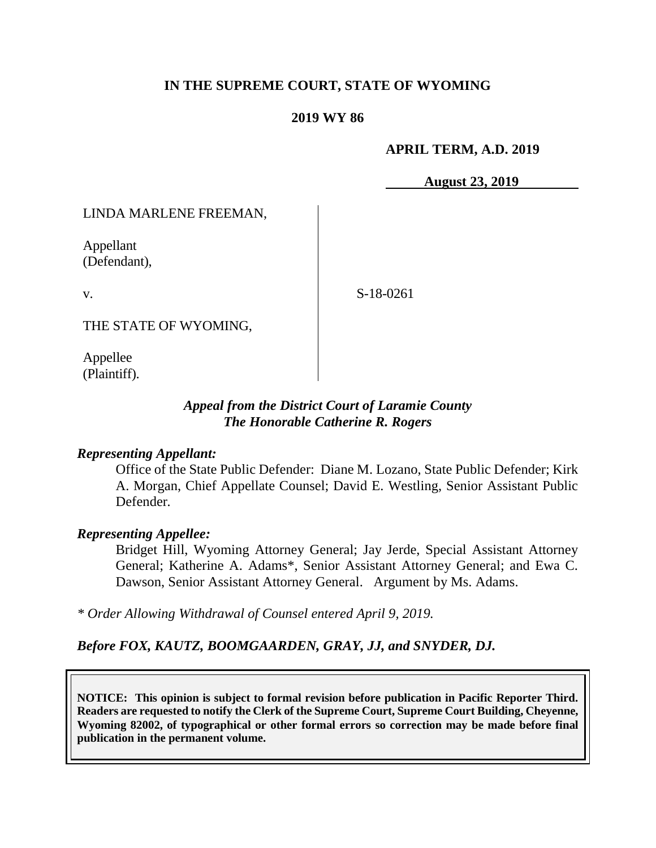#### **IN THE SUPREME COURT, STATE OF WYOMING**

#### **2019 WY 86**

#### **APRIL TERM, A.D. 2019**

**August 23, 2019**

LINDA MARLENE FREEMAN,

Appellant (Defendant),

v.

S-18-0261

THE STATE OF WYOMING,

Appellee (Plaintiff).

#### *Appeal from the District Court of Laramie County The Honorable Catherine R. Rogers*

#### *Representing Appellant:*

Office of the State Public Defender: Diane M. Lozano, State Public Defender; Kirk A. Morgan, Chief Appellate Counsel; David E. Westling, Senior Assistant Public Defender*.*

#### *Representing Appellee:*

Bridget Hill, Wyoming Attorney General; Jay Jerde, Special Assistant Attorney General; Katherine A. Adams\*, Senior Assistant Attorney General; and Ewa C. Dawson, Senior Assistant Attorney General. Argument by Ms. Adams.

*\* Order Allowing Withdrawal of Counsel entered April 9, 2019.*

*Before FOX, KAUTZ, BOOMGAARDEN, GRAY, JJ, and SNYDER, DJ.*

**NOTICE: This opinion is subject to formal revision before publication in Pacific Reporter Third. Readers are requested to notify the Clerk of the Supreme Court, Supreme Court Building, Cheyenne, Wyoming 82002, of typographical or other formal errors so correction may be made before final publication in the permanent volume.**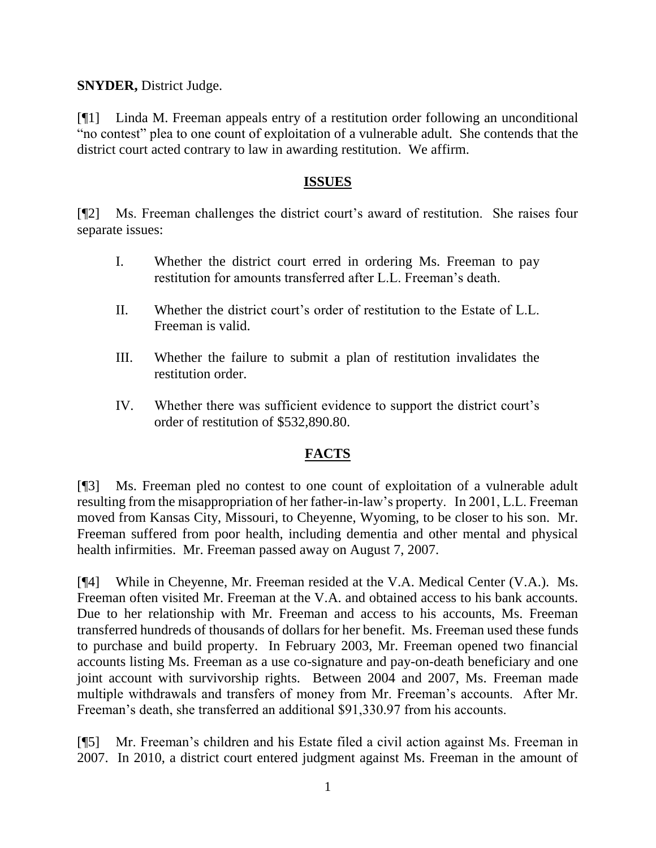**SNYDER,** District Judge.

[¶1] Linda M. Freeman appeals entry of a restitution order following an unconditional "no contest" plea to one count of exploitation of a vulnerable adult. She contends that the district court acted contrary to law in awarding restitution. We affirm.

#### **ISSUES**

[¶2] Ms. Freeman challenges the district court's award of restitution. She raises four separate issues:

- I. Whether the district court erred in ordering Ms. Freeman to pay restitution for amounts transferred after L.L. Freeman's death.
- II. Whether the district court's order of restitution to the Estate of L.L. Freeman is valid.
- III. Whether the failure to submit a plan of restitution invalidates the restitution order.
- IV. Whether there was sufficient evidence to support the district court's order of restitution of \$532,890.80.

# **FACTS**

[¶3] Ms. Freeman pled no contest to one count of exploitation of a vulnerable adult resulting from the misappropriation of her father-in-law's property. In 2001, L.L. Freeman moved from Kansas City, Missouri, to Cheyenne, Wyoming, to be closer to his son. Mr. Freeman suffered from poor health, including dementia and other mental and physical health infirmities. Mr. Freeman passed away on August 7, 2007.

[¶4] While in Cheyenne, Mr. Freeman resided at the V.A. Medical Center (V.A.). Ms. Freeman often visited Mr. Freeman at the V.A. and obtained access to his bank accounts. Due to her relationship with Mr. Freeman and access to his accounts, Ms. Freeman transferred hundreds of thousands of dollars for her benefit. Ms. Freeman used these funds to purchase and build property. In February 2003, Mr. Freeman opened two financial accounts listing Ms. Freeman as a use co-signature and pay-on-death beneficiary and one joint account with survivorship rights. Between 2004 and 2007, Ms. Freeman made multiple withdrawals and transfers of money from Mr. Freeman's accounts. After Mr. Freeman's death, she transferred an additional \$91,330.97 from his accounts.

[¶5] Mr. Freeman's children and his Estate filed a civil action against Ms. Freeman in 2007. In 2010, a district court entered judgment against Ms. Freeman in the amount of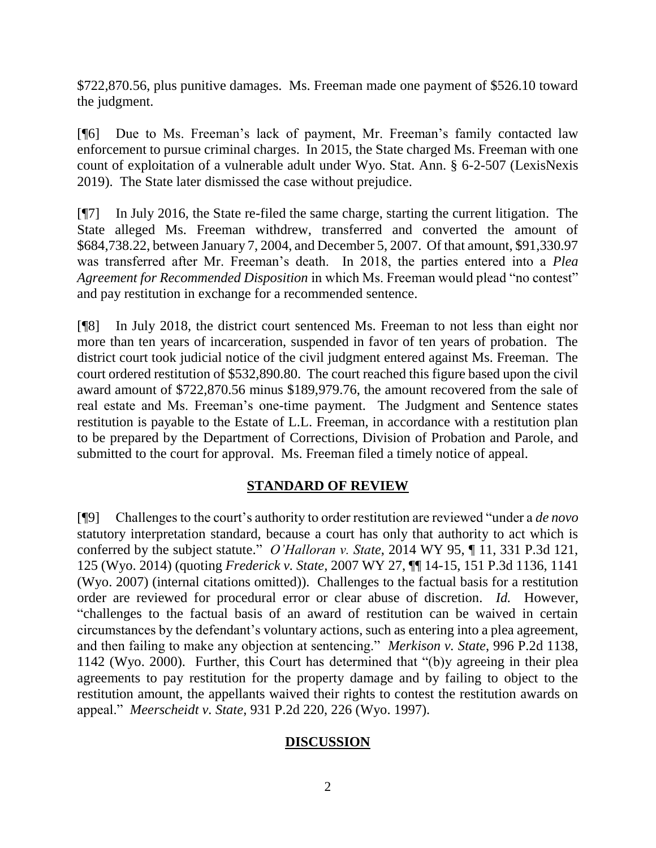\$722,870.56, plus punitive damages. Ms. Freeman made one payment of \$526.10 toward the judgment.

[¶6] Due to Ms. Freeman's lack of payment, Mr. Freeman's family contacted law enforcement to pursue criminal charges. In 2015, the State charged Ms. Freeman with one count of exploitation of a vulnerable adult under Wyo. Stat. Ann. § 6-2-507 (LexisNexis 2019). The State later dismissed the case without prejudice.

[¶7] In July 2016, the State re-filed the same charge, starting the current litigation. The State alleged Ms. Freeman withdrew, transferred and converted the amount of \$684,738.22, between January 7, 2004, and December 5, 2007. Of that amount, \$91,330.97 was transferred after Mr. Freeman's death. In 2018, the parties entered into a *Plea Agreement for Recommended Disposition* in which Ms. Freeman would plead "no contest" and pay restitution in exchange for a recommended sentence.

[¶8] In July 2018, the district court sentenced Ms. Freeman to not less than eight nor more than ten years of incarceration, suspended in favor of ten years of probation. The district court took judicial notice of the civil judgment entered against Ms. Freeman. The court ordered restitution of \$532,890.80. The court reached this figure based upon the civil award amount of \$722,870.56 minus \$189,979.76, the amount recovered from the sale of real estate and Ms. Freeman's one-time payment. The Judgment and Sentence states restitution is payable to the Estate of L.L. Freeman, in accordance with a restitution plan to be prepared by the Department of Corrections, Division of Probation and Parole, and submitted to the court for approval. Ms. Freeman filed a timely notice of appeal.

## **STANDARD OF REVIEW**

[¶9] Challenges to the court's authority to order restitution are reviewed "under a *de novo* statutory interpretation standard, because a court has only that authority to act which is conferred by the subject statute." *O'Halloran v. State*, 2014 WY 95, ¶ 11, 331 P.3d 121, 125 (Wyo. 2014) (quoting *Frederick v. State,* 2007 WY 27, ¶¶ 14-15, 151 P.3d 1136, 1141 (Wyo. 2007) (internal citations omitted)). Challenges to the factual basis for a restitution order are reviewed for procedural error or clear abuse of discretion. *Id.* However, "challenges to the factual basis of an award of restitution can be waived in certain circumstances by the defendant's voluntary actions, such as entering into a plea agreement, and then failing to make any objection at sentencing." *Merkison v. State*, 996 P.2d 1138, 1142 (Wyo. 2000). Further, this Court has determined that "(b)y agreeing in their plea agreements to pay restitution for the property damage and by failing to object to the restitution amount, the appellants waived their rights to contest the restitution awards on appeal." *Meerscheidt v. State*, 931 P.2d 220, 226 (Wyo. 1997).

## **DISCUSSION**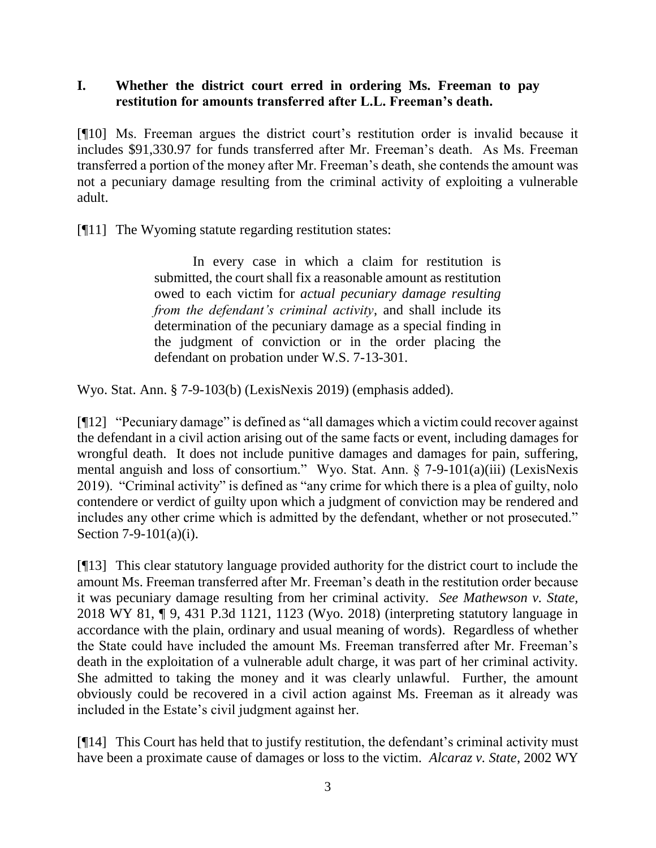## **I. Whether the district court erred in ordering Ms. Freeman to pay restitution for amounts transferred after L.L. Freeman's death.**

[¶10] Ms. Freeman argues the district court's restitution order is invalid because it includes \$91,330.97 for funds transferred after Mr. Freeman's death. As Ms. Freeman transferred a portion of the money after Mr. Freeman's death, she contends the amount was not a pecuniary damage resulting from the criminal activity of exploiting a vulnerable adult.

[¶11] The Wyoming statute regarding restitution states:

In every case in which a claim for restitution is submitted, the court shall fix a reasonable amount as restitution owed to each victim for *actual pecuniary damage resulting from the defendant's criminal activity*, and shall include its determination of the pecuniary damage as a special finding in the judgment of conviction or in the order placing the defendant on probation under W.S. 7-13-301.

Wyo. Stat. Ann. § 7-9-103(b) (LexisNexis 2019) (emphasis added).

[¶12] "Pecuniary damage" is defined as "all damages which a victim could recover against the defendant in a civil action arising out of the same facts or event, including damages for wrongful death. It does not include punitive damages and damages for pain, suffering, mental anguish and loss of consortium." Wyo. Stat. Ann. § 7-9-101(a)(iii) (LexisNexis 2019). "Criminal activity" is defined as "any crime for which there is a plea of guilty, nolo contendere or verdict of guilty upon which a judgment of conviction may be rendered and includes any other crime which is admitted by the defendant, whether or not prosecuted." Section 7-9-101(a)(i).

[¶13] This clear statutory language provided authority for the district court to include the amount Ms. Freeman transferred after Mr. Freeman's death in the restitution order because it was pecuniary damage resulting from her criminal activity. *See Mathewson v. State,*  2018 WY 81, ¶ 9, 431 P.3d 1121, 1123 (Wyo. 2018) (interpreting statutory language in accordance with the plain, ordinary and usual meaning of words). Regardless of whether the State could have included the amount Ms. Freeman transferred after Mr. Freeman's death in the exploitation of a vulnerable adult charge, it was part of her criminal activity. She admitted to taking the money and it was clearly unlawful. Further, the amount obviously could be recovered in a civil action against Ms. Freeman as it already was included in the Estate's civil judgment against her.

[¶14] This Court has held that to justify restitution, the defendant's criminal activity must have been a proximate cause of damages or loss to the victim. *Alcaraz v. State*, 2002 WY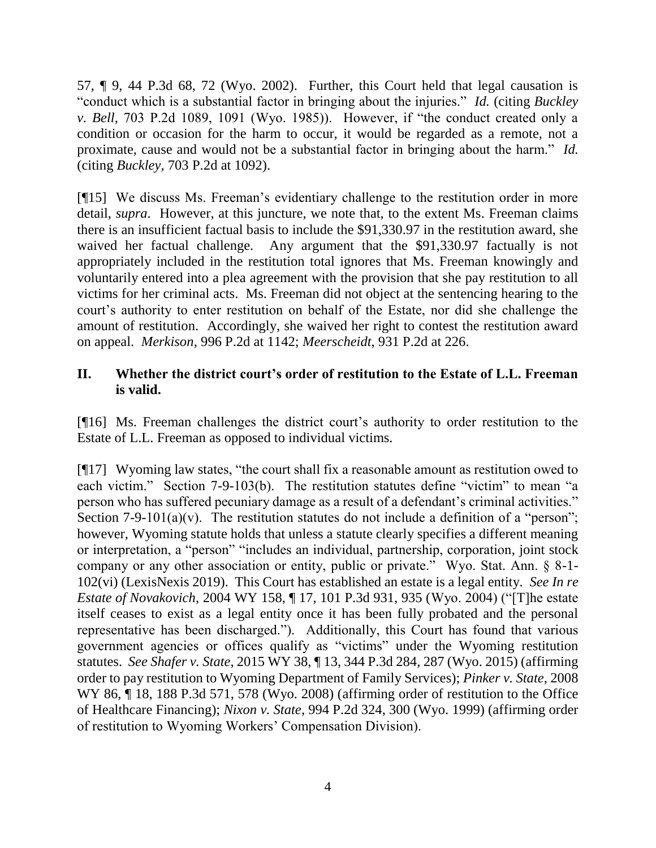57, ¶ 9, 44 P.3d 68, 72 (Wyo. 2002). Further, this Court held that legal causation is "conduct which is a substantial factor in bringing about the injuries." *Id.* (citing *Buckley v. Bell,* 703 P.2d 1089, 1091 (Wyo. 1985)). However, if "the conduct created only a condition or occasion for the harm to occur, it would be regarded as a remote, not a proximate, cause and would not be a substantial factor in bringing about the harm." *Id.* (citing *Buckley,* 703 P.2d at 1092).

[¶15] We discuss Ms. Freeman's evidentiary challenge to the restitution order in more detail, *supra*. However, at this juncture, we note that, to the extent Ms. Freeman claims there is an insufficient factual basis to include the \$91,330.97 in the restitution award, she waived her factual challenge. Any argument that the \$91,330.97 factually is not appropriately included in the restitution total ignores that Ms. Freeman knowingly and voluntarily entered into a plea agreement with the provision that she pay restitution to all victims for her criminal acts. Ms. Freeman did not object at the sentencing hearing to the court's authority to enter restitution on behalf of the Estate, nor did she challenge the amount of restitution. Accordingly, she waived her right to contest the restitution award on appeal. *Merkison*, 996 P.2d at 1142; *Meerscheidt*, 931 P.2d at 226.

## **II. Whether the district court's order of restitution to the Estate of L.L. Freeman is valid.**

[¶16] Ms. Freeman challenges the district court's authority to order restitution to the Estate of L.L. Freeman as opposed to individual victims.

[¶17] Wyoming law states, "the court shall fix a reasonable amount as restitution owed to each victim." Section 7-9-103(b). The restitution statutes define "victim" to mean "a person who has suffered pecuniary damage as a result of a defendant's criminal activities." Section 7-9-101(a)(v). The restitution statutes do not include a definition of a "person"; however, Wyoming statute holds that unless a statute clearly specifies a different meaning or interpretation, a "person" "includes an individual, partnership, corporation, joint stock company or any other association or entity, public or private." Wyo. Stat. Ann. § 8-1- 102(vi) (LexisNexis 2019). This Court has established an estate is a legal entity. *See In re Estate of Novakovich*, 2004 WY 158, ¶ 17, 101 P.3d 931, 935 (Wyo. 2004) ("[T]he estate itself ceases to exist as a legal entity once it has been fully probated and the personal representative has been discharged."). Additionally, this Court has found that various government agencies or offices qualify as "victims" under the Wyoming restitution statutes. *See Shafer v. State*, 2015 WY 38, ¶ 13, 344 P.3d 284, 287 (Wyo. 2015) (affirming order to pay restitution to Wyoming Department of Family Services); *Pinker v. State*, 2008 WY 86,  $\parallel$  18, 188 P.3d 571, 578 (Wyo. 2008) (affirming order of restitution to the Office of Healthcare Financing); *Nixon v. State*, 994 P.2d 324, 300 (Wyo. 1999) (affirming order of restitution to Wyoming Workers' Compensation Division).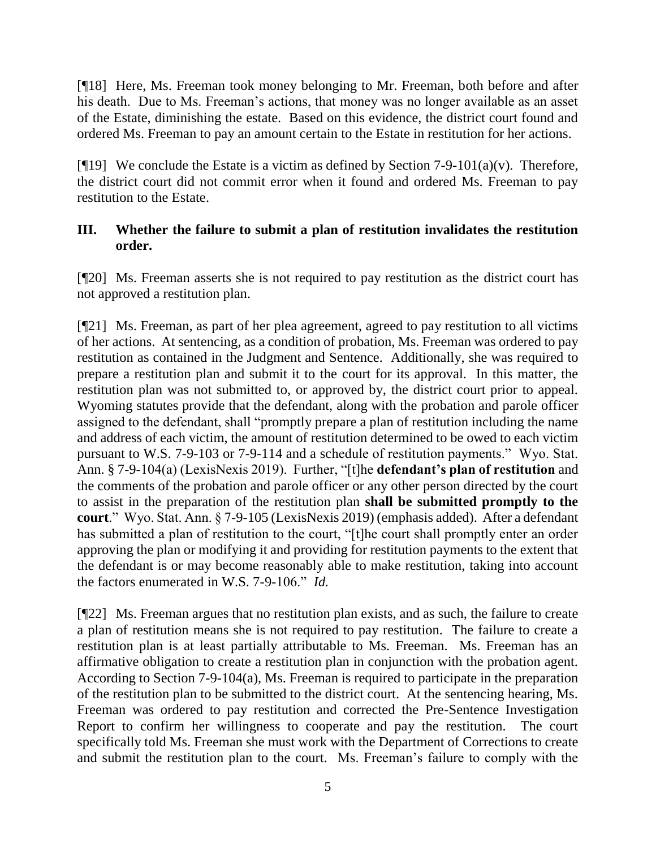[¶18] Here, Ms. Freeman took money belonging to Mr. Freeman, both before and after his death. Due to Ms. Freeman's actions, that money was no longer available as an asset of the Estate, diminishing the estate. Based on this evidence, the district court found and ordered Ms. Freeman to pay an amount certain to the Estate in restitution for her actions.

[ $[$ [19] We conclude the Estate is a victim as defined by Section 7-9-101(a)(v). Therefore, the district court did not commit error when it found and ordered Ms. Freeman to pay restitution to the Estate.

## **III. Whether the failure to submit a plan of restitution invalidates the restitution order.**

[¶20] Ms. Freeman asserts she is not required to pay restitution as the district court has not approved a restitution plan.

[¶21] Ms. Freeman, as part of her plea agreement, agreed to pay restitution to all victims of her actions. At sentencing, as a condition of probation, Ms. Freeman was ordered to pay restitution as contained in the Judgment and Sentence. Additionally, she was required to prepare a restitution plan and submit it to the court for its approval. In this matter, the restitution plan was not submitted to, or approved by, the district court prior to appeal. Wyoming statutes provide that the defendant, along with the probation and parole officer assigned to the defendant, shall "promptly prepare a plan of restitution including the name and address of each victim, the amount of restitution determined to be owed to each victim pursuant to W.S. 7-9-103 or 7-9-114 and a schedule of restitution payments." Wyo. Stat. Ann. § 7-9-104(a) (LexisNexis 2019). Further, "[t]he **defendant's plan of restitution** and the comments of the probation and parole officer or any other person directed by the court to assist in the preparation of the restitution plan **shall be submitted promptly to the court**." Wyo. Stat. Ann. § 7-9-105 (LexisNexis 2019) (emphasis added). After a defendant has submitted a plan of restitution to the court, "[t]he court shall promptly enter an order approving the plan or modifying it and providing for restitution payments to the extent that the defendant is or may become reasonably able to make restitution, taking into account the factors enumerated in W.S. 7-9-106." *Id.*

[¶22] Ms. Freeman argues that no restitution plan exists, and as such, the failure to create a plan of restitution means she is not required to pay restitution. The failure to create a restitution plan is at least partially attributable to Ms. Freeman. Ms. Freeman has an affirmative obligation to create a restitution plan in conjunction with the probation agent. According to Section 7-9-104(a), Ms. Freeman is required to participate in the preparation of the restitution plan to be submitted to the district court. At the sentencing hearing, Ms. Freeman was ordered to pay restitution and corrected the Pre-Sentence Investigation Report to confirm her willingness to cooperate and pay the restitution. The court specifically told Ms. Freeman she must work with the Department of Corrections to create and submit the restitution plan to the court. Ms. Freeman's failure to comply with the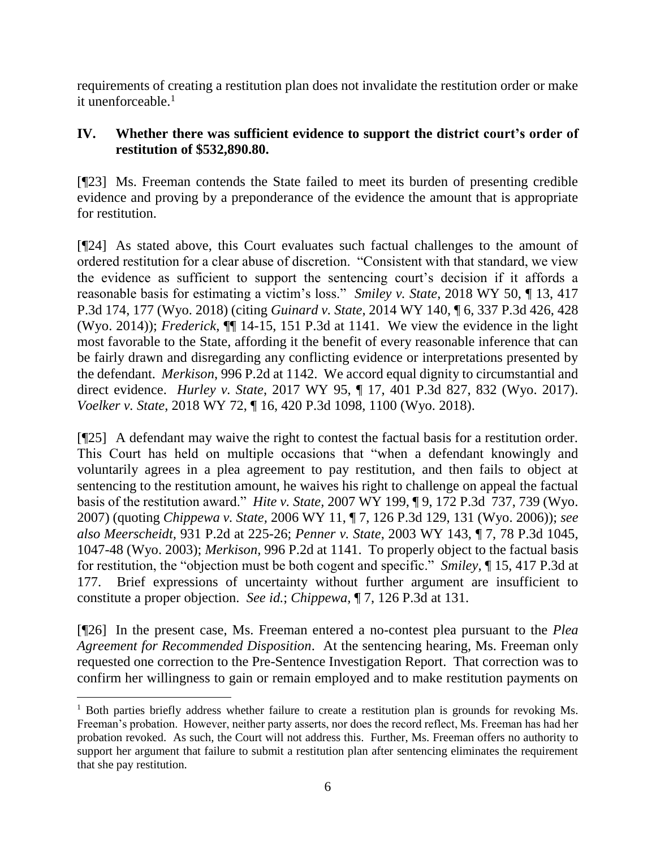requirements of creating a restitution plan does not invalidate the restitution order or make it unenforceable. $<sup>1</sup>$ </sup>

# **IV. Whether there was sufficient evidence to support the district court's order of restitution of \$532,890.80.**

[¶23] Ms. Freeman contends the State failed to meet its burden of presenting credible evidence and proving by a preponderance of the evidence the amount that is appropriate for restitution.

[¶24] As stated above, this Court evaluates such factual challenges to the amount of ordered restitution for a clear abuse of discretion. "Consistent with that standard, we view the evidence as sufficient to support the sentencing court's decision if it affords a reasonable basis for estimating a victim's loss." *Smiley v. State*, 2018 WY 50, ¶ 13, 417 P.3d 174, 177 (Wyo. 2018) (citing *Guinard v. State*, 2014 WY 140, ¶ 6, 337 P.3d 426, 428 (Wyo. 2014)); *Frederick*, ¶¶ 14-15, 151 P.3d at 1141. We view the evidence in the light most favorable to the State, affording it the benefit of every reasonable inference that can be fairly drawn and disregarding any conflicting evidence or interpretations presented by the defendant. *Merkison*, 996 P.2d at 1142. We accord equal dignity to circumstantial and direct evidence. *Hurley v. State*, 2017 WY 95, ¶ 17, 401 P.3d 827, 832 (Wyo. 2017). *Voelker v. State*, 2018 WY 72, ¶ 16, 420 P.3d 1098, 1100 (Wyo. 2018).

[¶25] A defendant may waive the right to contest the factual basis for a restitution order. This Court has held on multiple occasions that "when a defendant knowingly and voluntarily agrees in a plea agreement to pay restitution, and then fails to object at sentencing to the restitution amount, he waives his right to challenge on appeal the factual basis of the restitution award." *Hite v. State,* 2007 WY 199, ¶ 9, 172 P.3d 737, 739 (Wyo. 2007) (quoting *Chippewa v. State,* 2006 WY 11, ¶ 7, 126 P.3d 129, 131 (Wyo. 2006)); *see also Meerscheidt,* 931 P.2d at 225-26; *Penner v. State*, 2003 WY 143, ¶ 7, 78 P.3d 1045, 1047-48 (Wyo. 2003); *Merkison,* 996 P.2d at 1141. To properly object to the factual basis for restitution, the "objection must be both cogent and specific." *Smiley,* ¶ 15, 417 P.3d at 177. Brief expressions of uncertainty without further argument are insufficient to constitute a proper objection. *See id.*; *Chippewa,* ¶ 7, 126 P.3d at 131.

[¶26] In the present case, Ms. Freeman entered a no-contest plea pursuant to the *Plea Agreement for Recommended Disposition*. At the sentencing hearing, Ms. Freeman only requested one correction to the Pre-Sentence Investigation Report. That correction was to confirm her willingness to gain or remain employed and to make restitution payments on

 <sup>1</sup> Both parties briefly address whether failure to create a restitution plan is grounds for revoking Ms. Freeman's probation. However, neither party asserts, nor does the record reflect, Ms. Freeman has had her probation revoked. As such, the Court will not address this. Further, Ms. Freeman offers no authority to support her argument that failure to submit a restitution plan after sentencing eliminates the requirement that she pay restitution.